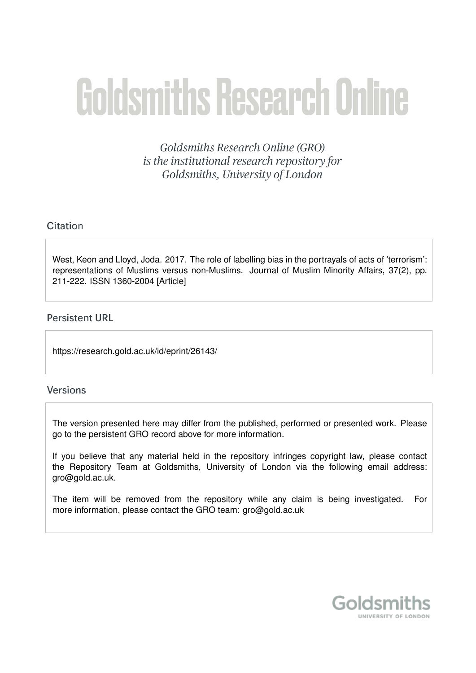# **Goldsmiths Research Online**

Goldsmiths Research Online (GRO) is the institutional research repository for Goldsmiths, University of London

# Citation

West, Keon and Lloyd, Joda. 2017. The role of labelling bias in the portrayals of acts of 'terrorism': representations of Muslims versus non-Muslims. Journal of Muslim Minority Affairs, 37(2), pp. 211-222. ISSN 1360-2004 [Article]

# **Persistent URL**

https://research.gold.ac.uk/id/eprint/26143/

## **Versions**

The version presented here may differ from the published, performed or presented work. Please go to the persistent GRO record above for more information.

If you believe that any material held in the repository infringes copyright law, please contact the Repository Team at Goldsmiths, University of London via the following email address: gro@gold.ac.uk.

The item will be removed from the repository while any claim is being investigated. For more information, please contact the GRO team: gro@gold.ac.uk

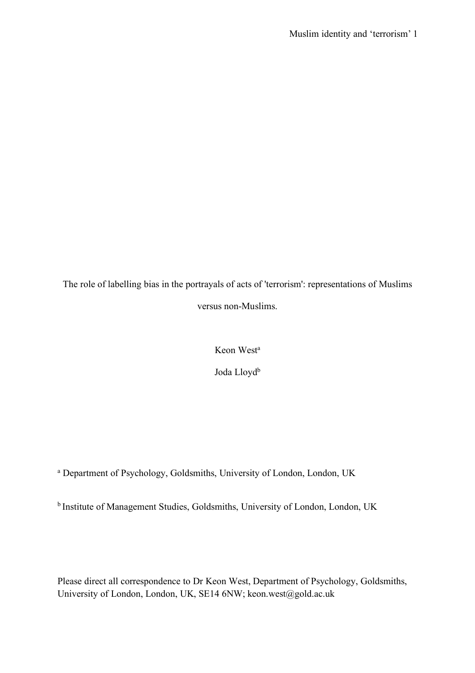The role of labelling bias in the portrayals of acts of 'terrorism': representations of Muslims versus non-Muslims.

Keon West<sup>a</sup>

Joda Lloyd<sup>b</sup>

<sup>a</sup> Department of Psychology, Goldsmiths, University of London, London, UK

b Institute of Management Studies, Goldsmiths, University of London, London, UK

Please direct all correspondence to Dr Keon West, Department of Psychology, Goldsmiths, University of London, London, UK, SE14 6NW; keon.west@gold.ac.uk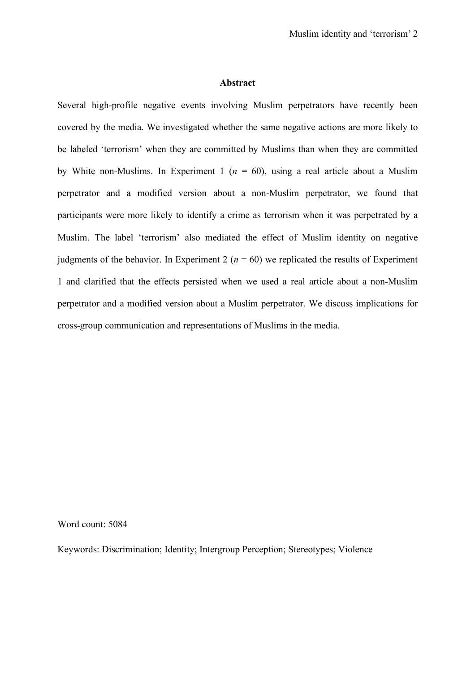#### **Abstract**

Several high-profile negative events involving Muslim perpetrators have recently been covered by the media. We investigated whether the same negative actions are more likely to be labeled 'terrorism' when they are committed by Muslims than when they are committed by White non-Muslims. In Experiment 1 ( $n = 60$ ), using a real article about a Muslim perpetrator and a modified version about a non-Muslim perpetrator, we found that participants were more likely to identify a crime as terrorism when it was perpetrated by a Muslim. The label 'terrorism' also mediated the effect of Muslim identity on negative judgments of the behavior. In Experiment 2 ( $n = 60$ ) we replicated the results of Experiment 1 and clarified that the effects persisted when we used a real article about a non-Muslim perpetrator and a modified version about a Muslim perpetrator. We discuss implications for cross-group communication and representations of Muslims in the media.

Word count: 5084

Keywords: Discrimination; Identity; Intergroup Perception; Stereotypes; Violence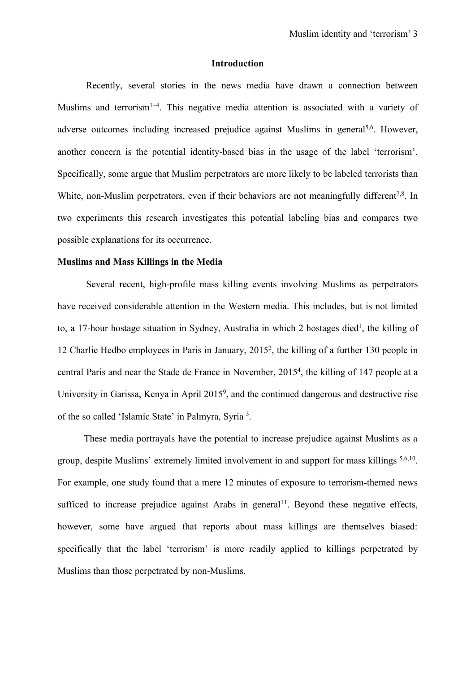#### **Introduction**

Recently, several stories in the news media have drawn a connection between Muslims and terrorism<sup>1-4</sup>. This negative media attention is associated with a variety of adverse outcomes including increased prejudice against Muslims in general<sup>5,6</sup>. However, another concern is the potential identity-based bias in the usage of the label 'terrorism'. Specifically, some argue that Muslim perpetrators are more likely to be labeled terrorists than White, non-Muslim perpetrators, even if their behaviors are not meaningfully different<sup>7,8</sup>. In two experiments this research investigates this potential labeling bias and compares two possible explanations for its occurrence.

#### **Muslims and Mass Killings in the Media**

Several recent, high-profile mass killing events involving Muslims as perpetrators have received considerable attention in the Western media. This includes, but is not limited to, a 17-hour hostage situation in Sydney, Australia in which 2 hostages died<sup>1</sup>, the killing of 12 Charlie Hedbo employees in Paris in January, 20152, the killing of a further 130 people in central Paris and near the Stade de France in November, 2015<sup>4</sup>, the killing of 147 people at a University in Garissa, Kenya in April 2015<sup>9</sup>, and the continued dangerous and destructive rise of the so called 'Islamic State' in Palmyra, Syria<sup>3</sup>.

 These media portrayals have the potential to increase prejudice against Muslims as a group, despite Muslims' extremely limited involvement in and support for mass killings 5,6,10. For example, one study found that a mere 12 minutes of exposure to terrorism-themed news sufficed to increase prejudice against Arabs in general<sup>11</sup>. Beyond these negative effects, however, some have argued that reports about mass killings are themselves biased: specifically that the label 'terrorism' is more readily applied to killings perpetrated by Muslims than those perpetrated by non-Muslims.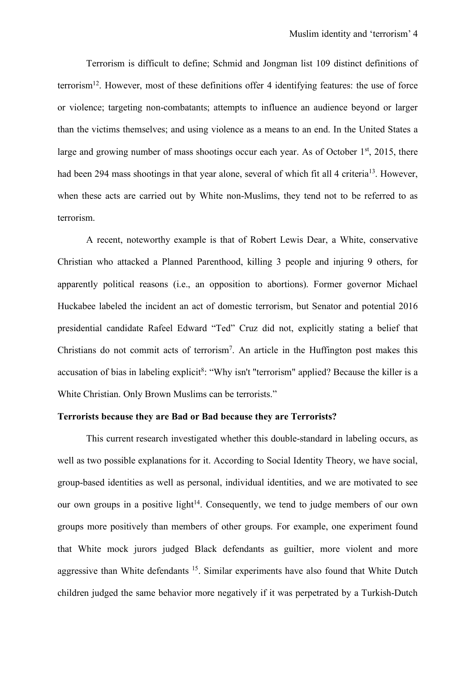Terrorism is difficult to define; Schmid and Jongman list 109 distinct definitions of terrorism12. However, most of these definitions offer 4 identifying features: the use of force or violence; targeting non-combatants; attempts to influence an audience beyond or larger than the victims themselves; and using violence as a means to an end. In the United States a large and growing number of mass shootings occur each year. As of October  $1<sup>st</sup>$ , 2015, there had been 294 mass shootings in that year alone, several of which fit all 4 criteria<sup>13</sup>. However, when these acts are carried out by White non-Muslims, they tend not to be referred to as terrorism.

A recent, noteworthy example is that of Robert Lewis Dear, a White, conservative Christian who attacked a Planned Parenthood, killing 3 people and injuring 9 others, for apparently political reasons (i.e., an opposition to abortions). Former governor Michael Huckabee labeled the incident an act of domestic terrorism, but Senator and potential 2016 presidential candidate Rafeel Edward "Ted" Cruz did not, explicitly stating a belief that Christians do not commit acts of terrorism7 . An article in the Huffington post makes this accusation of bias in labeling explicit<sup>8</sup>: "Why isn't "terrorism" applied? Because the killer is a White Christian. Only Brown Muslims can be terrorists."

# **Terrorists because they are Bad or Bad because they are Terrorists?**

This current research investigated whether this double-standard in labeling occurs, as well as two possible explanations for it. According to Social Identity Theory, we have social, group-based identities as well as personal, individual identities, and we are motivated to see our own groups in a positive light<sup> $14$ </sup>. Consequently, we tend to judge members of our own groups more positively than members of other groups. For example, one experiment found that White mock jurors judged Black defendants as guiltier, more violent and more aggressive than White defendants 15. Similar experiments have also found that White Dutch children judged the same behavior more negatively if it was perpetrated by a Turkish-Dutch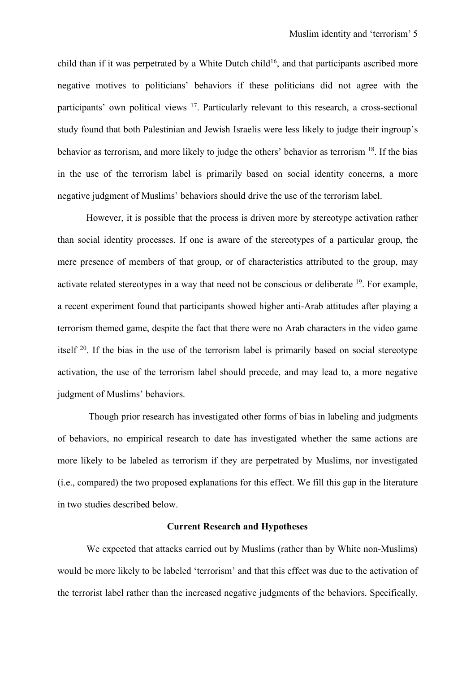child than if it was perpetrated by a White Dutch child<sup>16</sup>, and that participants ascribed more negative motives to politicians' behaviors if these politicians did not agree with the participants' own political views 17. Particularly relevant to this research, a cross-sectional study found that both Palestinian and Jewish Israelis were less likely to judge their ingroup's behavior as terrorism, and more likely to judge the others' behavior as terrorism 18. If the bias in the use of the terrorism label is primarily based on social identity concerns, a more negative judgment of Muslims' behaviors should drive the use of the terrorism label.

However, it is possible that the process is driven more by stereotype activation rather than social identity processes. If one is aware of the stereotypes of a particular group, the mere presence of members of that group, or of characteristics attributed to the group, may activate related stereotypes in a way that need not be conscious or deliberate 19. For example, a recent experiment found that participants showed higher anti-Arab attitudes after playing a terrorism themed game, despite the fact that there were no Arab characters in the video game itself 20. If the bias in the use of the terrorism label is primarily based on social stereotype activation, the use of the terrorism label should precede, and may lead to, a more negative judgment of Muslims' behaviors.

Though prior research has investigated other forms of bias in labeling and judgments of behaviors, no empirical research to date has investigated whether the same actions are more likely to be labeled as terrorism if they are perpetrated by Muslims, nor investigated (i.e., compared) the two proposed explanations for this effect. We fill this gap in the literature in two studies described below.

#### **Current Research and Hypotheses**

We expected that attacks carried out by Muslims (rather than by White non-Muslims) would be more likely to be labeled 'terrorism' and that this effect was due to the activation of the terrorist label rather than the increased negative judgments of the behaviors. Specifically,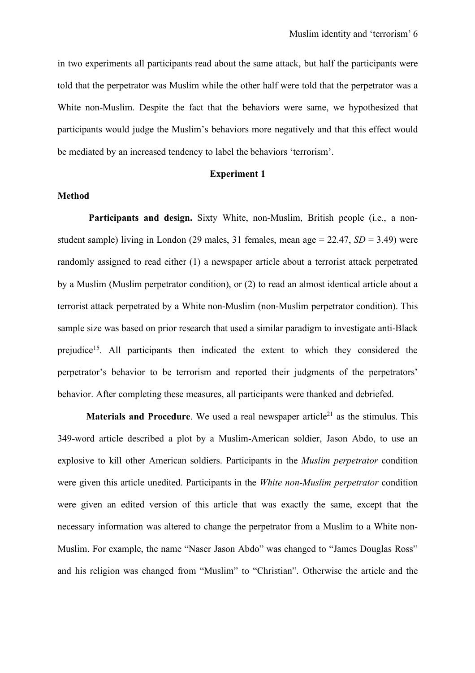in two experiments all participants read about the same attack, but half the participants were told that the perpetrator was Muslim while the other half were told that the perpetrator was a White non-Muslim. Despite the fact that the behaviors were same, we hypothesized that participants would judge the Muslim's behaviors more negatively and that this effect would be mediated by an increased tendency to label the behaviors 'terrorism'.

#### **Experiment 1**

#### **Method**

 **Participants and design.** Sixty White, non-Muslim, British people (i.e., a nonstudent sample) living in London (29 males, 31 females, mean age = 22.47, *SD* = 3.49) were randomly assigned to read either (1) a newspaper article about a terrorist attack perpetrated by a Muslim (Muslim perpetrator condition), or (2) to read an almost identical article about a terrorist attack perpetrated by a White non-Muslim (non-Muslim perpetrator condition). This sample size was based on prior research that used a similar paradigm to investigate anti-Black prejudice15. All participants then indicated the extent to which they considered the perpetrator's behavior to be terrorism and reported their judgments of the perpetrators' behavior. After completing these measures, all participants were thanked and debriefed.

**Materials and Procedure**. We used a real newspaper article<sup>21</sup> as the stimulus. This 349-word article described a plot by a Muslim-American soldier, Jason Abdo, to use an explosive to kill other American soldiers. Participants in the *Muslim perpetrator* condition were given this article unedited. Participants in the *White non-Muslim perpetrator* condition were given an edited version of this article that was exactly the same, except that the necessary information was altered to change the perpetrator from a Muslim to a White non-Muslim. For example, the name "Naser Jason Abdo" was changed to "James Douglas Ross" and his religion was changed from "Muslim" to "Christian". Otherwise the article and the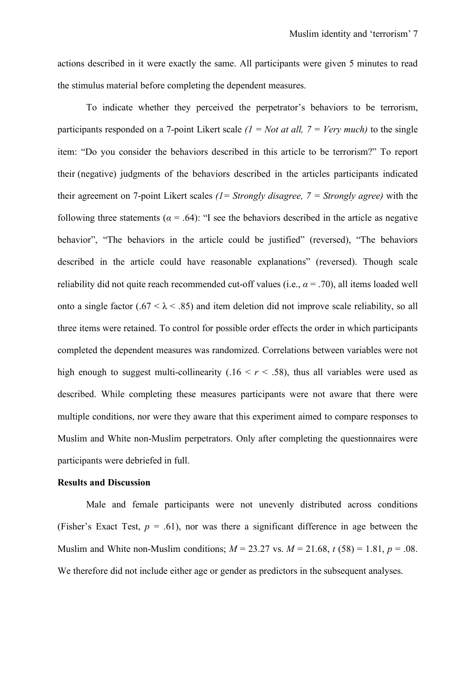actions described in it were exactly the same. All participants were given 5 minutes to read the stimulus material before completing the dependent measures.

To indicate whether they perceived the perpetrator's behaviors to be terrorism, participants responded on a 7-point Likert scale *(1 = Not at all, 7 = Very much)* to the single item: "Do you consider the behaviors described in this article to be terrorism?" To report their (negative) judgments of the behaviors described in the articles participants indicated their agreement on 7-point Likert scales *(1= Strongly disagree, 7 = Strongly agree)* with the following three statements ( $\alpha$  = .64): "I see the behaviors described in the article as negative behavior", "The behaviors in the article could be justified" (reversed), "The behaviors described in the article could have reasonable explanations" (reversed). Though scale reliability did not quite reach recommended cut-off values (i.e.,  $\alpha = .70$ ), all items loaded well onto a single factor (.67 <  $\lambda$  < .85) and item deletion did not improve scale reliability, so all three items were retained. To control for possible order effects the order in which participants completed the dependent measures was randomized. Correlations between variables were not high enough to suggest multi-collinearity  $(.16 \le r \le .58)$ , thus all variables were used as described. While completing these measures participants were not aware that there were multiple conditions, nor were they aware that this experiment aimed to compare responses to Muslim and White non-Muslim perpetrators. Only after completing the questionnaires were participants were debriefed in full.

#### **Results and Discussion**

Male and female participants were not unevenly distributed across conditions (Fisher's Exact Test,  $p = .61$ ), nor was there a significant difference in age between the Muslim and White non-Muslim conditions;  $M = 23.27$  vs.  $M = 21.68$ ,  $t(58) = 1.81$ ,  $p = .08$ . We therefore did not include either age or gender as predictors in the subsequent analyses.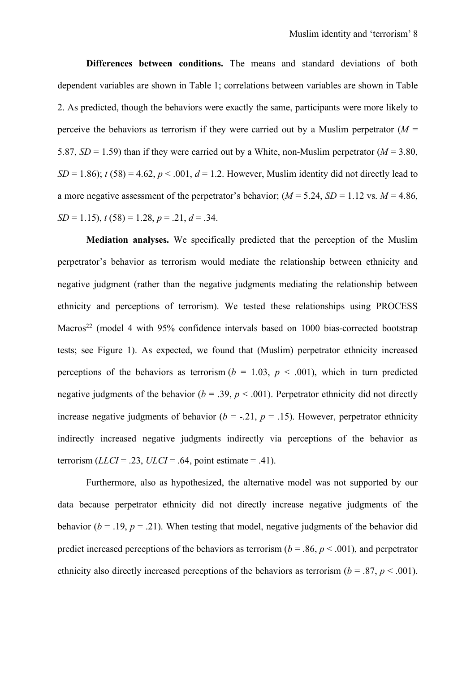**Differences between conditions.** The means and standard deviations of both dependent variables are shown in Table 1; correlations between variables are shown in Table 2. As predicted, though the behaviors were exactly the same, participants were more likely to perceive the behaviors as terrorism if they were carried out by a Muslim perpetrator  $(M =$ 5.87,  $SD = 1.59$ ) than if they were carried out by a White, non-Muslim perpetrator ( $M = 3.80$ ,  $SD = 1.86$ ;  $t(58) = 4.62$ ,  $p < .001$ ,  $d = 1.2$ . However, Muslim identity did not directly lead to a more negative assessment of the perpetrator's behavior;  $(M = 5.24, SD = 1.12 \text{ vs. } M = 4.86,$  $SD = 1.15$ ,  $t(58) = 1.28$ ,  $p = .21$ ,  $d = .34$ .

**Mediation analyses.** We specifically predicted that the perception of the Muslim perpetrator's behavior as terrorism would mediate the relationship between ethnicity and negative judgment (rather than the negative judgments mediating the relationship between ethnicity and perceptions of terrorism). We tested these relationships using PROCESS Macros<sup>22</sup> (model 4 with 95% confidence intervals based on 1000 bias-corrected bootstrap tests; see Figure 1). As expected, we found that (Muslim) perpetrator ethnicity increased perceptions of the behaviors as terrorism ( $b = 1.03$ ,  $p < .001$ ), which in turn predicted negative judgments of the behavior ( $b = .39$ ,  $p < .001$ ). Perpetrator ethnicity did not directly increase negative judgments of behavior ( $b = -0.21$ ,  $p = 0.15$ ). However, perpetrator ethnicity indirectly increased negative judgments indirectly via perceptions of the behavior as terrorism  $(LLCI = .23, ULCI = .64, point estimate = .41)$ .

Furthermore, also as hypothesized, the alternative model was not supported by our data because perpetrator ethnicity did not directly increase negative judgments of the behavior ( $b = .19$ ,  $p = .21$ ). When testing that model, negative judgments of the behavior did predict increased perceptions of the behaviors as terrorism ( $b = .86$ ,  $p < .001$ ), and perpetrator ethnicity also directly increased perceptions of the behaviors as terrorism ( $b = .87$ ,  $p < .001$ ).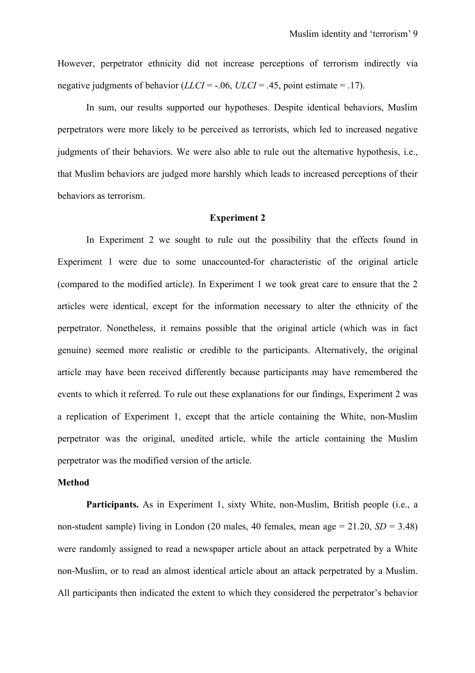However, perpetrator ethnicity did not increase perceptions of terrorism indirectly via negative judgments of behavior  $(LLCI = -0.06, ULCI = 0.45)$ , point estimate = 0.17).

In sum, our results supported our hypotheses. Despite identical behaviors, Muslim perpetrators were more likely to be perceived as terrorists, which led to increased negative judgments of their behaviors. We were also able to rule out the alternative hypothesis, i.e., that Muslim behaviors are judged more harshly which leads to increased perceptions of their behaviors as terrorism.

## **Experiment 2**

In Experiment 2 we sought to rule out the possibility that the effects found in Experiment 1 were due to some unaccounted-for characteristic of the original article (compared to the modified article). In Experiment 1 we took great care to ensure that the 2 articles were identical, except for the information necessary to alter the ethnicity of the perpetrator. Nonetheless, it remains possible that the original article (which was in fact genuine) seemed more realistic or credible to the participants. Alternatively, the original article may have been received differently because participants may have remembered the events to which it referred. To rule out these explanations for our findings, Experiment 2 was a replication of Experiment 1, except that the article containing the White, non-Muslim perpetrator was the original, unedited article, while the article containing the Muslim perpetrator was the modified version of the article.

#### **Method**

**Participants.** As in Experiment 1, sixty White, non-Muslim, British people (i.e., a non-student sample) living in London (20 males, 40 females, mean age  $= 21.20$ ,  $SD = 3.48$ ) were randomly assigned to read a newspaper article about an attack perpetrated by a White non-Muslim, or to read an almost identical article about an attack perpetrated by a Muslim. All participants then indicated the extent to which they considered the perpetrator's behavior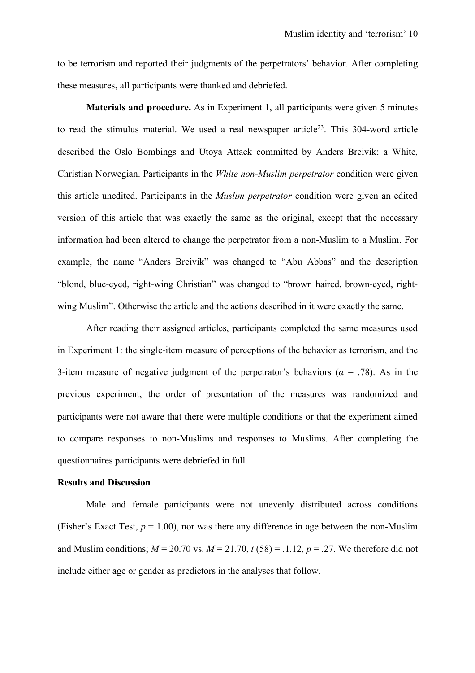to be terrorism and reported their judgments of the perpetrators' behavior. After completing these measures, all participants were thanked and debriefed.

**Materials and procedure.** As in Experiment 1, all participants were given 5 minutes to read the stimulus material. We used a real newspaper article<sup>23</sup>. This 304-word article described the Oslo Bombings and Utoya Attack committed by Anders Breivik: a White, Christian Norwegian. Participants in the *White non-Muslim perpetrator* condition were given this article unedited. Participants in the *Muslim perpetrator* condition were given an edited version of this article that was exactly the same as the original, except that the necessary information had been altered to change the perpetrator from a non-Muslim to a Muslim. For example, the name "Anders Breivik" was changed to "Abu Abbas" and the description "blond, blue-eyed, right-wing Christian" was changed to "brown haired, brown-eyed, rightwing Muslim". Otherwise the article and the actions described in it were exactly the same.

After reading their assigned articles, participants completed the same measures used in Experiment 1: the single-item measure of perceptions of the behavior as terrorism, and the 3-item measure of negative judgment of the perpetrator's behaviors ( $\alpha$  = .78). As in the previous experiment, the order of presentation of the measures was randomized and participants were not aware that there were multiple conditions or that the experiment aimed to compare responses to non-Muslims and responses to Muslims. After completing the questionnaires participants were debriefed in full.

#### **Results and Discussion**

 Male and female participants were not unevenly distributed across conditions (Fisher's Exact Test,  $p = 1.00$ ), nor was there any difference in age between the non-Muslim and Muslim conditions;  $M = 20.70$  vs.  $M = 21.70$ ,  $t(58) = .1.12$ ,  $p = .27$ . We therefore did not include either age or gender as predictors in the analyses that follow.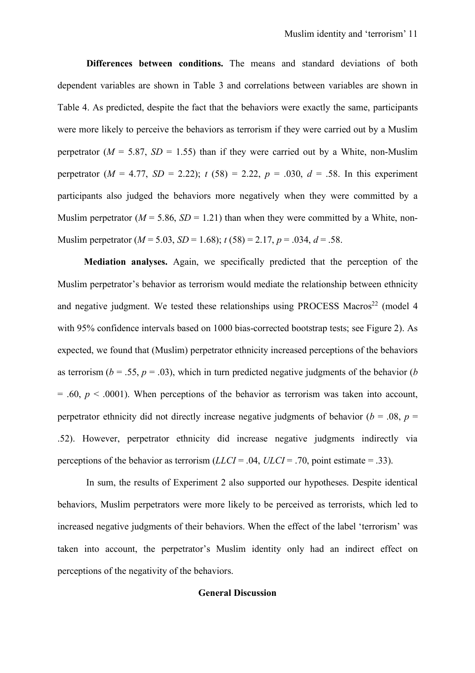**Differences between conditions.** The means and standard deviations of both dependent variables are shown in Table 3 and correlations between variables are shown in Table 4. As predicted, despite the fact that the behaviors were exactly the same, participants were more likely to perceive the behaviors as terrorism if they were carried out by a Muslim perpetrator ( $M = 5.87$ ,  $SD = 1.55$ ) than if they were carried out by a White, non-Muslim perpetrator  $(M = 4.77, SD = 2.22)$ ;  $t(58) = 2.22, p = .030, d = .58$ . In this experiment participants also judged the behaviors more negatively when they were committed by a Muslim perpetrator ( $M = 5.86$ ,  $SD = 1.21$ ) than when they were committed by a White, non-Muslim perpetrator  $(M = 5.03, SD = 1.68)$ ;  $t(58) = 2.17, p = .034, d = .58$ .

 **Mediation analyses.** Again, we specifically predicted that the perception of the Muslim perpetrator's behavior as terrorism would mediate the relationship between ethnicity and negative judgment. We tested these relationships using PROCESS Macros<sup>22</sup> (model 4 with 95% confidence intervals based on 1000 bias-corrected bootstrap tests; see Figure 2). As expected, we found that (Muslim) perpetrator ethnicity increased perceptions of the behaviors as terrorism ( $b = .55$ ,  $p = .03$ ), which in turn predicted negative judgments of the behavior ( $b$  $= .60, p < .0001$ ). When perceptions of the behavior as terrorism was taken into account, perpetrator ethnicity did not directly increase negative judgments of behavior ( $b = .08$ ,  $p =$ .52). However, perpetrator ethnicity did increase negative judgments indirectly via perceptions of the behavior as terrorism (*LLCI* = .04, *ULCI* = .70, point estimate = .33).

In sum, the results of Experiment 2 also supported our hypotheses. Despite identical behaviors, Muslim perpetrators were more likely to be perceived as terrorists, which led to increased negative judgments of their behaviors. When the effect of the label 'terrorism' was taken into account, the perpetrator's Muslim identity only had an indirect effect on perceptions of the negativity of the behaviors.

## **General Discussion**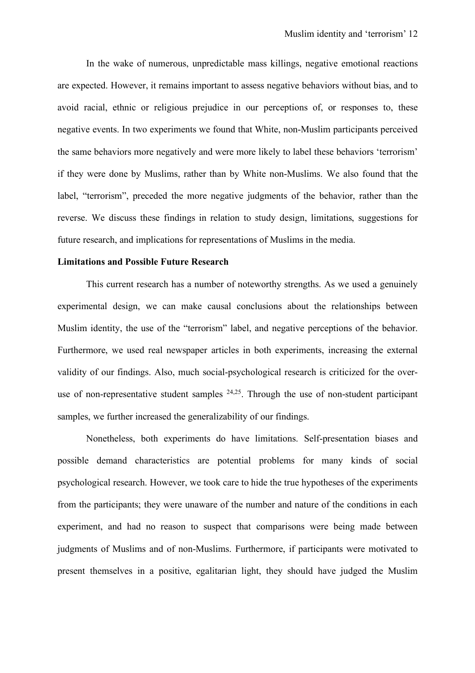In the wake of numerous, unpredictable mass killings, negative emotional reactions are expected. However, it remains important to assess negative behaviors without bias, and to avoid racial, ethnic or religious prejudice in our perceptions of, or responses to, these negative events. In two experiments we found that White, non-Muslim participants perceived the same behaviors more negatively and were more likely to label these behaviors 'terrorism' if they were done by Muslims, rather than by White non-Muslims. We also found that the label, "terrorism", preceded the more negative judgments of the behavior, rather than the reverse. We discuss these findings in relation to study design, limitations, suggestions for future research, and implications for representations of Muslims in the media.

# **Limitations and Possible Future Research**

This current research has a number of noteworthy strengths. As we used a genuinely experimental design, we can make causal conclusions about the relationships between Muslim identity, the use of the "terrorism" label, and negative perceptions of the behavior. Furthermore, we used real newspaper articles in both experiments, increasing the external validity of our findings. Also, much social-psychological research is criticized for the overuse of non-representative student samples  $24,25$ . Through the use of non-student participant samples, we further increased the generalizability of our findings.

Nonetheless, both experiments do have limitations. Self-presentation biases and possible demand characteristics are potential problems for many kinds of social psychological research. However, we took care to hide the true hypotheses of the experiments from the participants; they were unaware of the number and nature of the conditions in each experiment, and had no reason to suspect that comparisons were being made between judgments of Muslims and of non-Muslims. Furthermore, if participants were motivated to present themselves in a positive, egalitarian light, they should have judged the Muslim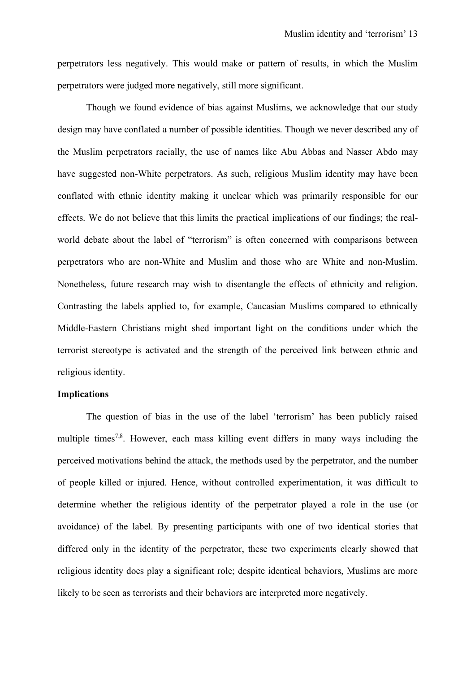perpetrators less negatively. This would make or pattern of results, in which the Muslim perpetrators were judged more negatively, still more significant.

Though we found evidence of bias against Muslims, we acknowledge that our study design may have conflated a number of possible identities. Though we never described any of the Muslim perpetrators racially, the use of names like Abu Abbas and Nasser Abdo may have suggested non-White perpetrators. As such, religious Muslim identity may have been conflated with ethnic identity making it unclear which was primarily responsible for our effects. We do not believe that this limits the practical implications of our findings; the realworld debate about the label of "terrorism" is often concerned with comparisons between perpetrators who are non-White and Muslim and those who are White and non-Muslim. Nonetheless, future research may wish to disentangle the effects of ethnicity and religion. Contrasting the labels applied to, for example, Caucasian Muslims compared to ethnically Middle-Eastern Christians might shed important light on the conditions under which the terrorist stereotype is activated and the strength of the perceived link between ethnic and religious identity.

## **Implications**

The question of bias in the use of the label 'terrorism' has been publicly raised multiple times<sup>7,8</sup>. However, each mass killing event differs in many ways including the perceived motivations behind the attack, the methods used by the perpetrator, and the number of people killed or injured. Hence, without controlled experimentation, it was difficult to determine whether the religious identity of the perpetrator played a role in the use (or avoidance) of the label. By presenting participants with one of two identical stories that differed only in the identity of the perpetrator, these two experiments clearly showed that religious identity does play a significant role; despite identical behaviors, Muslims are more likely to be seen as terrorists and their behaviors are interpreted more negatively.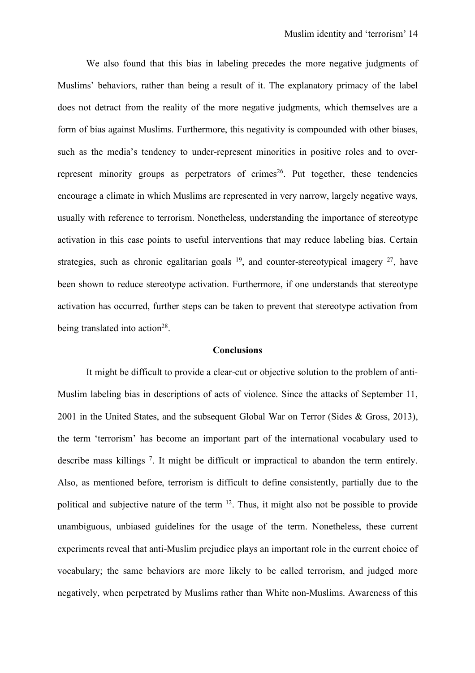We also found that this bias in labeling precedes the more negative judgments of Muslims' behaviors, rather than being a result of it. The explanatory primacy of the label does not detract from the reality of the more negative judgments, which themselves are a form of bias against Muslims. Furthermore, this negativity is compounded with other biases, such as the media's tendency to under-represent minorities in positive roles and to overrepresent minority groups as perpetrators of crimes<sup>26</sup>. Put together, these tendencies encourage a climate in which Muslims are represented in very narrow, largely negative ways, usually with reference to terrorism. Nonetheless, understanding the importance of stereotype activation in this case points to useful interventions that may reduce labeling bias. Certain strategies, such as chronic egalitarian goals  $19$ , and counter-stereotypical imagery  $27$ , have been shown to reduce stereotype activation. Furthermore, if one understands that stereotype activation has occurred, further steps can be taken to prevent that stereotype activation from being translated into action<sup>28</sup>.

## **Conclusions**

It might be difficult to provide a clear-cut or objective solution to the problem of anti-Muslim labeling bias in descriptions of acts of violence. Since the attacks of September 11, 2001 in the United States, and the subsequent Global War on Terror (Sides & Gross, 2013), the term 'terrorism' has become an important part of the international vocabulary used to describe mass killings 7. It might be difficult or impractical to abandon the term entirely. Also, as mentioned before, terrorism is difficult to define consistently, partially due to the political and subjective nature of the term 12. Thus, it might also not be possible to provide unambiguous, unbiased guidelines for the usage of the term. Nonetheless, these current experiments reveal that anti-Muslim prejudice plays an important role in the current choice of vocabulary; the same behaviors are more likely to be called terrorism, and judged more negatively, when perpetrated by Muslims rather than White non-Muslims. Awareness of this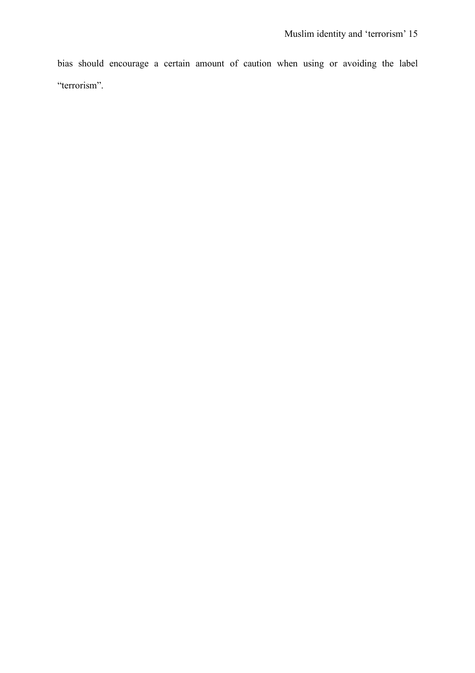bias should encourage a certain amount of caution when using or avoiding the label "terrorism".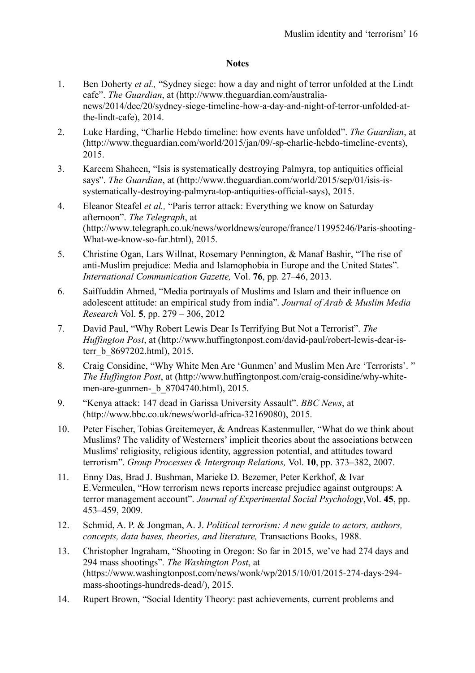# **Notes**

- 1. Ben Doherty *et al.,* "Sydney siege: how a day and night of terror unfolded at the Lindt cafe". *The Guardian*, at (http://www.theguardian.com/australianews/2014/dec/20/sydney-siege-timeline-how-a-day-and-night-of-terror-unfolded-atthe-lindt-cafe), 2014.
- 2. Luke Harding, "Charlie Hebdo timeline: how events have unfolded". *The Guardian*, at (http://www.theguardian.com/world/2015/jan/09/-sp-charlie-hebdo-timeline-events), 2015.
- 3. Kareem Shaheen, "Isis is systematically destroying Palmyra, top antiquities official says". *The Guardian*, at (http://www.theguardian.com/world/2015/sep/01/isis-issystematically-destroying-palmyra-top-antiquities-official-says), 2015.
- 4. Eleanor Steafel *et al.,* "Paris terror attack: Everything we know on Saturday afternoon". *The Telegraph*, at (http://www.telegraph.co.uk/news/worldnews/europe/france/11995246/Paris-shooting-What-we-know-so-far.html), 2015.
- 5. Christine Ogan, Lars Willnat, Rosemary Pennington, & Manaf Bashir, "The rise of anti-Muslim prejudice: Media and Islamophobia in Europe and the United States". *International Communication Gazette,* Vol. **76**, pp. 27–46, 2013.
- 6. Saiffuddin Ahmed, "Media portrayals of Muslims and Islam and their influence on adolescent attitude: an empirical study from india". *Journal of Arab & Muslim Media Research* Vol. **5**, pp. 279 – 306, 2012
- 7. David Paul, "Why Robert Lewis Dear Is Terrifying But Not a Terrorist". *The Huffington Post*, at (http://www.huffingtonpost.com/david-paul/robert-lewis-dear-isterr\_b\_8697202.html), 2015.
- 8. Craig Considine, "Why White Men Are 'Gunmen' and Muslim Men Are 'Terrorists'. " *The Huffington Post*, at (http://www.huffingtonpost.com/craig-considine/why-whitemen-are-gunmen- b 8704740.html), 2015.
- 9. "Kenya attack: 147 dead in Garissa University Assault". *BBC News*, at (http://www.bbc.co.uk/news/world-africa-32169080), 2015.
- 10. Peter Fischer, Tobias Greitemeyer, & Andreas Kastenmuller, "What do we think about Muslims? The validity of Westerners' implicit theories about the associations between Muslims' religiosity, religious identity, aggression potential, and attitudes toward terrorism". *Group Processes & Intergroup Relations,* Vol. **10**, pp. 373–382, 2007.
- 11. Enny Das, Brad J. Bushman, Marieke D. Bezemer, Peter Kerkhof, & Ivar E.Vermeulen, "How terrorism news reports increase prejudice against outgroups: A terror management account". *Journal of Experimental Social Psychology*,Vol. **45**, pp. 453–459, 2009.
- 12. Schmid, A. P. & Jongman, A. J. *Political terrorism: A new guide to actors, authors, concepts, data bases, theories, and literature,* Transactions Books, 1988.
- 13. Christopher Ingraham, "Shooting in Oregon: So far in 2015, we've had 274 days and 294 mass shootings". *The Washington Post*, at (https://www.washingtonpost.com/news/wonk/wp/2015/10/01/2015-274-days-294 mass-shootings-hundreds-dead/), 2015.
- 14. Rupert Brown, "Social Identity Theory: past achievements, current problems and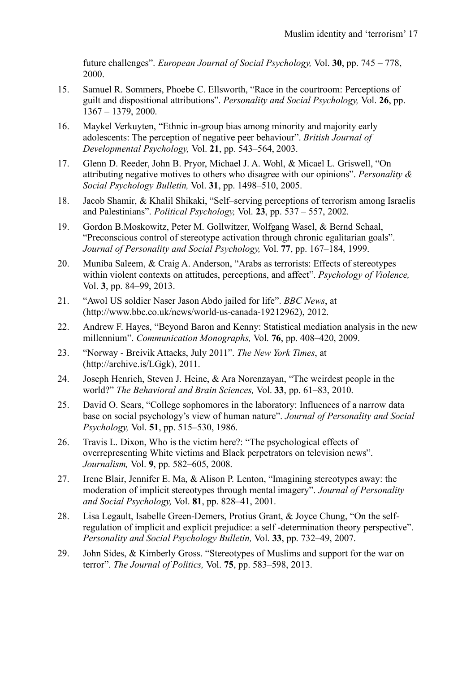future challenges". *European Journal of Social Psychology,* Vol. **30**, pp. 745 – 778, 2000.

- 15. Samuel R. Sommers, Phoebe C. Ellsworth, "Race in the courtroom: Perceptions of guilt and dispositional attributions". *Personality and Social Psychology,* Vol. **26**, pp. 1367 – 1379, 2000.
- 16. Maykel Verkuyten, "Ethnic in-group bias among minority and majority early adolescents: The perception of negative peer behaviour". *British Journal of Developmental Psychology,* Vol. **21**, pp. 543–564, 2003.
- 17. Glenn D. Reeder, John B. Pryor, Michael J. A. Wohl, & Micael L. Griswell, "On attributing negative motives to others who disagree with our opinions". *Personality & Social Psychology Bulletin,* Vol. **31**, pp. 1498–510, 2005.
- 18. Jacob Shamir, & Khalil Shikaki, "Self–serving perceptions of terrorism among Israelis and Palestinians". *Political Psychology,* Vol. **23**, pp. 537 – 557, 2002.
- 19. Gordon B.Moskowitz, Peter M. Gollwitzer, Wolfgang Wasel, & Bernd Schaal, "Preconscious control of stereotype activation through chronic egalitarian goals". *Journal of Personality and Social Psychology,* Vol. **77**, pp. 167–184, 1999.
- 20. Muniba Saleem, & Craig A. Anderson, "Arabs as terrorists: Effects of stereotypes within violent contexts on attitudes, perceptions, and affect". *Psychology of Violence,* Vol. **3**, pp. 84–99, 2013.
- 21. "Awol US soldier Naser Jason Abdo jailed for life". *BBC News*, at (http://www.bbc.co.uk/news/world-us-canada-19212962), 2012.
- 22. Andrew F. Hayes, "Beyond Baron and Kenny: Statistical mediation analysis in the new millennium". *Communication Monographs,* Vol. **76**, pp. 408–420, 2009.
- 23. "Norway Breivik Attacks, July 2011". *The New York Times*, at (http://archive.is/LGgk), 2011.
- 24. Joseph Henrich, Steven J. Heine, & Ara Norenzayan, "The weirdest people in the world?" *The Behavioral and Brain Sciences,* Vol. **33**, pp. 61–83, 2010.
- 25. David O. Sears, "College sophomores in the laboratory: Influences of a narrow data base on social psychology's view of human nature". *Journal of Personality and Social Psychology,* Vol. **51**, pp. 515–530, 1986.
- 26. Travis L. Dixon, Who is the victim here?: "The psychological effects of overrepresenting White victims and Black perpetrators on television news". *Journalism,* Vol. **9**, pp. 582–605, 2008.
- 27. Irene Blair, Jennifer E. Ma, & Alison P. Lenton, "Imagining stereotypes away: the moderation of implicit stereotypes through mental imagery". *Journal of Personality and Social Psychology,* Vol. **81**, pp. 828–41, 2001.
- 28. Lisa Legault, Isabelle Green-Demers, Protius Grant, & Joyce Chung, "On the selfregulation of implicit and explicit prejudice: a self -determination theory perspective". *Personality and Social Psychology Bulletin,* Vol. **33**, pp. 732–49, 2007.
- 29. John Sides, & Kimberly Gross. "Stereotypes of Muslims and support for the war on terror". *The Journal of Politics,* Vol. **75**, pp. 583–598, 2013.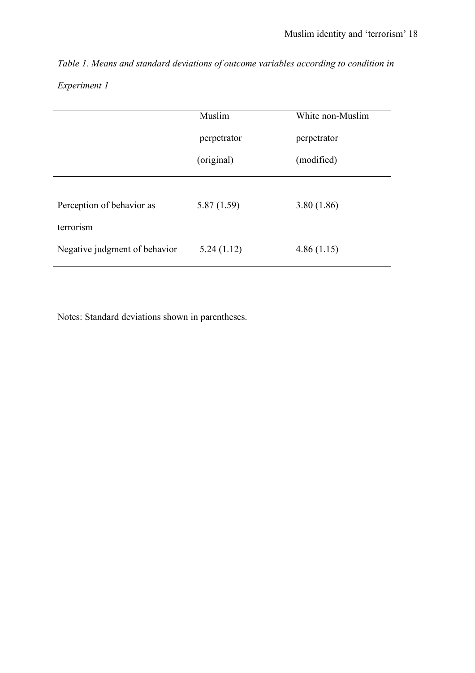*Table 1. Means and standard deviations of outcome variables according to condition in Experiment 1*

|                               | Muslim      | White non-Muslim |
|-------------------------------|-------------|------------------|
|                               | perpetrator | perpetrator      |
|                               | (original)  | (modified)       |
|                               |             |                  |
| Perception of behavior as     | 5.87(1.59)  | 3.80(1.86)       |
| terrorism                     |             |                  |
| Negative judgment of behavior | 5.24(1.12)  | 4.86(1.15)       |
|                               |             |                  |

Notes: Standard deviations shown in parentheses.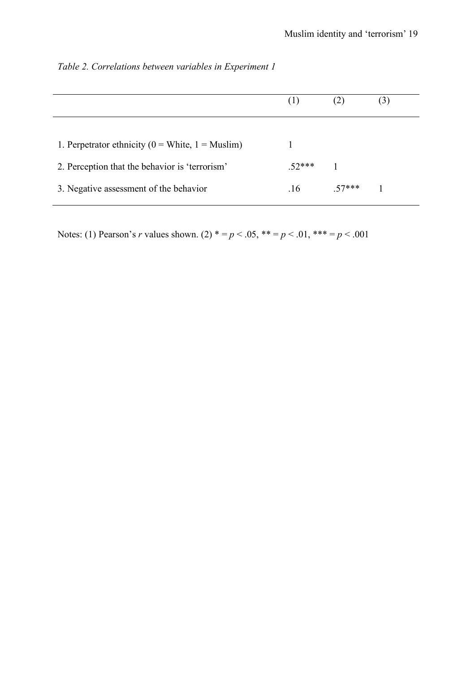|                                                       | (1)   |       |  |
|-------------------------------------------------------|-------|-------|--|
| 1. Perpetrator ethnicity ( $0 =$ White, $1 =$ Muslim) |       |       |  |
| 2. Perception that the behavior is 'terrorism'        | 52*** |       |  |
| 3. Negative assessment of the behavior                | -16   | 57*** |  |

*Table 2. Correlations between variables in Experiment 1*

Notes: (1) Pearson's *r* values shown. (2)  $* = p < .05$ ,  $** = p < .01$ ,  $*** = p < .001$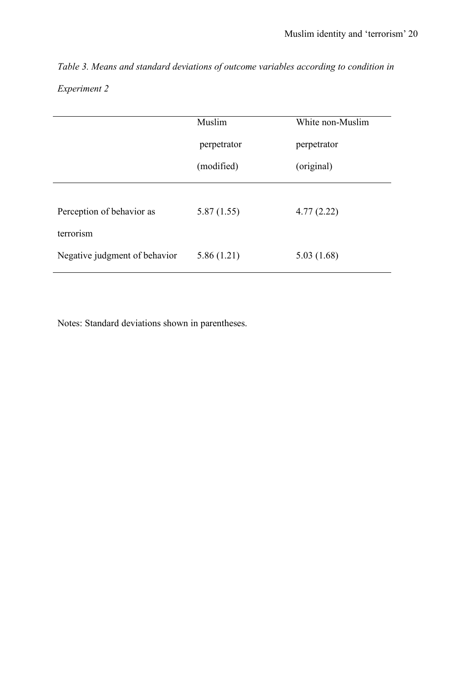*Table 3. Means and standard deviations of outcome variables according to condition in Experiment 2*

| Muslim      | White non-Muslim |
|-------------|------------------|
| perpetrator | perpetrator      |
| (modified)  | (original)       |
|             |                  |
| 5.87(1.55)  | 4.77(2.22)       |
|             |                  |
| 5.86(1.21)  | 5.03(1.68)       |
|             |                  |

Notes: Standard deviations shown in parentheses.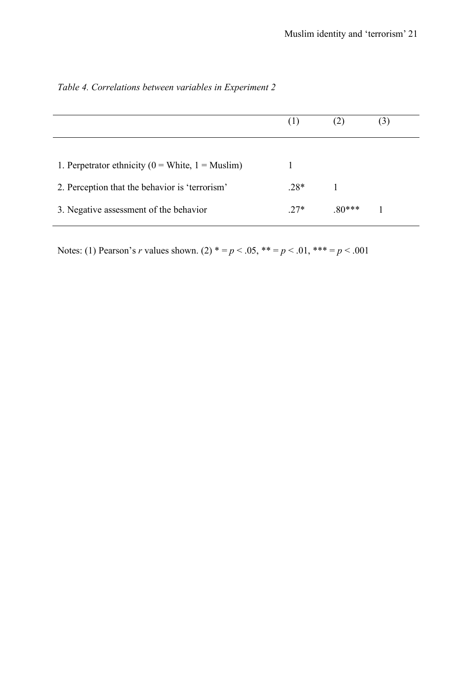|                                                       | (1)    |         | $\left(3\right)$ |
|-------------------------------------------------------|--------|---------|------------------|
|                                                       |        |         |                  |
| 1. Perpetrator ethnicity ( $0 =$ White, $1 =$ Muslim) |        |         |                  |
| 2. Perception that the behavior is 'terrorism'        | $.28*$ |         |                  |
| 3. Negative assessment of the behavior                | $27*$  | $80***$ |                  |
|                                                       |        |         |                  |

| Table 4. Correlations between variables in Experiment 2 |  |
|---------------------------------------------------------|--|
|---------------------------------------------------------|--|

Notes: (1) Pearson's *r* values shown. (2)  $* = p < .05$ ,  $** = p < .01$ ,  $*** = p < .001$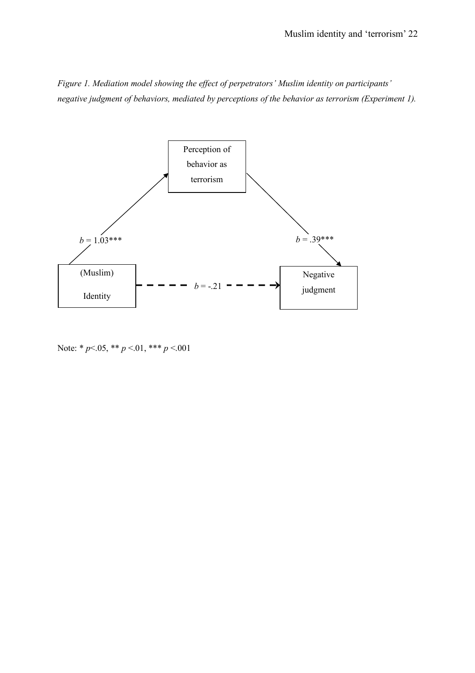*Figure 1. Mediation model showing the effect of perpetrators' Muslim identity on participants' negative judgment of behaviors, mediated by perceptions of the behavior as terrorism (Experiment 1).*



Note: \* *p*<.05, \*\* *p* <.01, \*\*\* *p* <.001